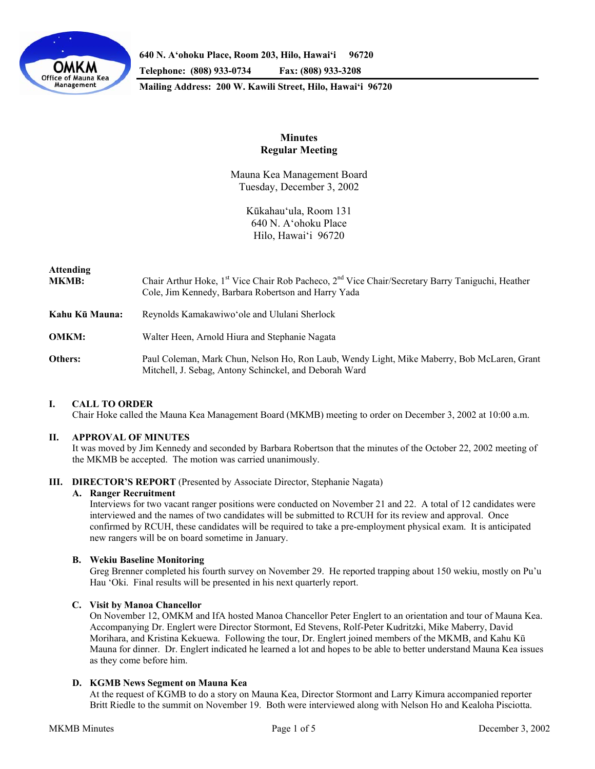

**640 N. A'ohoku Place, Room 203, Hilo, Hawai'i 96720** 

**Telephone: (808) 933-0734 Fax: (808) 933-3208** 

**Mailing Address: 200 W. Kawili Street, Hilo, Hawai'i 96720** 

# **Minutes Regular Meeting**

Mauna Kea Management Board Tuesday, December 3, 2002

> Kūkahau'ula, Room 131 640 N. A'ohoku Place Hilo, Hawai'i 96720

# **Attending**

| 1.10001101111<br><b>MKMB:</b> | Chair Arthur Hoke, $1st$ Vice Chair Rob Pacheco, $2nd$ Vice Chair/Secretary Barry Taniguchi, Heather<br>Cole, Jim Kennedy, Barbara Robertson and Harry Yada |
|-------------------------------|-------------------------------------------------------------------------------------------------------------------------------------------------------------|
| Kahu Kū Mauna:                | Reynolds Kamakawiwo' ole and Ululani Sherlock                                                                                                               |
| <b>OMKM:</b>                  | Walter Heen, Arnold Hiura and Stephanie Nagata                                                                                                              |
| Others:                       | Paul Coleman, Mark Chun, Nelson Ho, Ron Laub, Wendy Light, Mike Maberry, Bob McLaren, Grant<br>Mitchell, J. Sebag, Antony Schinckel, and Deborah Ward       |

# **I. CALL TO ORDER**

Chair Hoke called the Mauna Kea Management Board (MKMB) meeting to order on December 3, 2002 at 10:00 a.m.

# **II. APPROVAL OF MINUTES**

It was moved by Jim Kennedy and seconded by Barbara Robertson that the minutes of the October 22, 2002 meeting of the MKMB be accepted. The motion was carried unanimously.

## **III. DIRECTOR'S REPORT** (Presented by Associate Director, Stephanie Nagata)

# **A. Ranger Recruitment**

Interviews for two vacant ranger positions were conducted on November 21 and 22. A total of 12 candidates were interviewed and the names of two candidates will be submitted to RCUH for its review and approval. Once confirmed by RCUH, these candidates will be required to take a pre-employment physical exam. It is anticipated new rangers will be on board sometime in January.

## **B. Wekiu Baseline Monitoring**

Greg Brenner completed his fourth survey on November 29. He reported trapping about 150 wekiu, mostly on Pu'u Hau 'Oki. Final results will be presented in his next quarterly report.

## **C. Visit by Manoa Chancellor**

On November 12, OMKM and IfA hosted Manoa Chancellor Peter Englert to an orientation and tour of Mauna Kea. Accompanying Dr. Englert were Director Stormont, Ed Stevens, Rolf-Peter Kudritzki, Mike Maberry, David Morihara, and Kristina Kekuewa. Following the tour, Dr. Englert joined members of the MKMB, and Kahu Kū Mauna for dinner. Dr. Englert indicated he learned a lot and hopes to be able to better understand Mauna Kea issues as they come before him.

# **D. KGMB News Segment on Mauna Kea**

At the request of KGMB to do a story on Mauna Kea, Director Stormont and Larry Kimura accompanied reporter Britt Riedle to the summit on November 19. Both were interviewed along with Nelson Ho and Kealoha Pisciotta.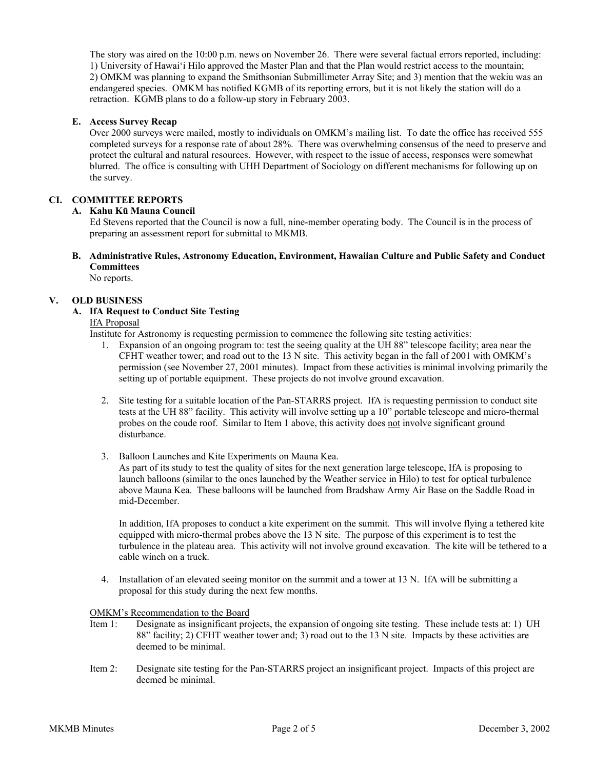The story was aired on the 10:00 p.m. news on November 26. There were several factual errors reported, including: 1) University of Hawai'i Hilo approved the Master Plan and that the Plan would restrict access to the mountain; 2) OMKM was planning to expand the Smithsonian Submillimeter Array Site; and 3) mention that the wekiu was an endangered species. OMKM has notified KGMB of its reporting errors, but it is not likely the station will do a retraction. KGMB plans to do a follow-up story in February 2003.

## **E. Access Survey Recap**

Over 2000 surveys were mailed, mostly to individuals on OMKM's mailing list. To date the office has received 555 completed surveys for a response rate of about 28%. There was overwhelming consensus of the need to preserve and protect the cultural and natural resources. However, with respect to the issue of access, responses were somewhat blurred. The office is consulting with UHH Department of Sociology on different mechanisms for following up on the survey.

## **CI. COMMITTEE REPORTS**

#### **A. Kahu Kū Mauna Council**

Ed Stevens reported that the Council is now a full, nine-member operating body. The Council is in the process of preparing an assessment report for submittal to MKMB.

**B. Administrative Rules, Astronomy Education, Environment, Hawaiian Culture and Public Safety and Conduct Committees** No reports.

# **V. OLD BUSINESS**

# **A. IfA Request to Conduct Site Testing**

#### IfA Proposal

Institute for Astronomy is requesting permission to commence the following site testing activities:

- 1. Expansion of an ongoing program to: test the seeing quality at the UH 88" telescope facility; area near the CFHT weather tower; and road out to the 13 N site. This activity began in the fall of 2001 with OMKM's permission (see November 27, 2001 minutes). Impact from these activities is minimal involving primarily the setting up of portable equipment. These projects do not involve ground excavation.
- 2. Site testing for a suitable location of the Pan-STARRS project. IfA is requesting permission to conduct site tests at the UH 88" facility. This activity will involve setting up a 10" portable telescope and micro-thermal probes on the coude roof. Similar to Item 1 above, this activity does not involve significant ground disturbance.
- 3. Balloon Launches and Kite Experiments on Mauna Kea.

As part of its study to test the quality of sites for the next generation large telescope, IfA is proposing to launch balloons (similar to the ones launched by the Weather service in Hilo) to test for optical turbulence above Mauna Kea. These balloons will be launched from Bradshaw Army Air Base on the Saddle Road in mid-December.

In addition, IfA proposes to conduct a kite experiment on the summit. This will involve flying a tethered kite equipped with micro-thermal probes above the 13 N site. The purpose of this experiment is to test the turbulence in the plateau area. This activity will not involve ground excavation. The kite will be tethered to a cable winch on a truck.

4. Installation of an elevated seeing monitor on the summit and a tower at 13 N. IfA will be submitting a proposal for this study during the next few months.

#### OMKM's Recommendation to the Board

- Item 1: Designate as insignificant projects, the expansion of ongoing site testing. These include tests at: 1) UH 88" facility; 2) CFHT weather tower and; 3) road out to the 13 N site. Impacts by these activities are deemed to be minimal.
- Item 2: Designate site testing for the Pan-STARRS project an insignificant project. Impacts of this project are deemed be minimal.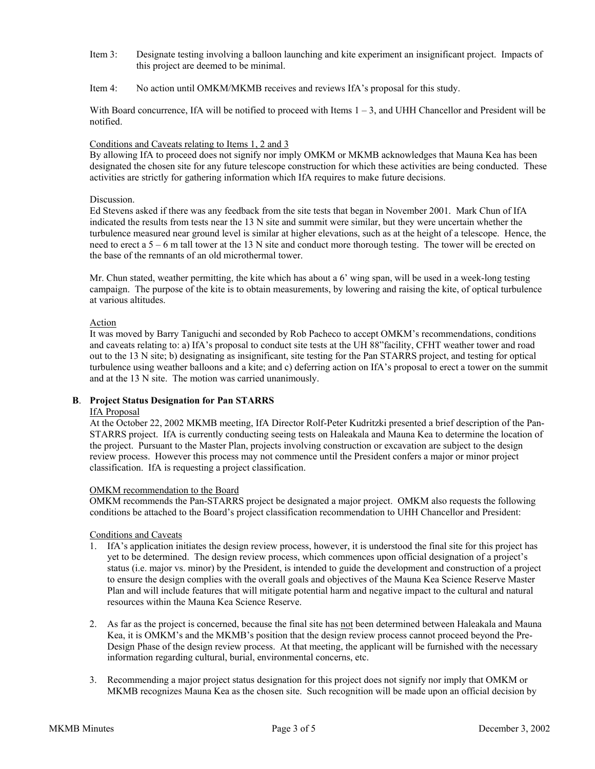- Item 3: Designate testing involving a balloon launching and kite experiment an insignificant project. Impacts of this project are deemed to be minimal.
- Item 4: No action until OMKM/MKMB receives and reviews IfA's proposal for this study.

With Board concurrence, IfA will be notified to proceed with Items  $1 - 3$ , and UHH Chancellor and President will be notified.

#### Conditions and Caveats relating to Items 1, 2 and 3

By allowing IfA to proceed does not signify nor imply OMKM or MKMB acknowledges that Mauna Kea has been designated the chosen site for any future telescope construction for which these activities are being conducted. These activities are strictly for gathering information which IfA requires to make future decisions.

#### Discussion.

Ed Stevens asked if there was any feedback from the site tests that began in November 2001. Mark Chun of IfA indicated the results from tests near the 13 N site and summit were similar, but they were uncertain whether the turbulence measured near ground level is similar at higher elevations, such as at the height of a telescope. Hence, the need to erect a 5 – 6 m tall tower at the 13 N site and conduct more thorough testing. The tower will be erected on the base of the remnants of an old microthermal tower.

Mr. Chun stated, weather permitting, the kite which has about a 6' wing span, will be used in a week-long testing campaign. The purpose of the kite is to obtain measurements, by lowering and raising the kite, of optical turbulence at various altitudes.

#### Action

It was moved by Barry Taniguchi and seconded by Rob Pacheco to accept OMKM's recommendations, conditions and caveats relating to: a) IfA's proposal to conduct site tests at the UH 88"facility, CFHT weather tower and road out to the 13 N site; b) designating as insignificant, site testing for the Pan STARRS project, and testing for optical turbulence using weather balloons and a kite; and c) deferring action on IfA's proposal to erect a tower on the summit and at the 13 N site. The motion was carried unanimously.

## **B**. **Project Status Designation for Pan STARRS**

#### IfA Proposal

At the October 22, 2002 MKMB meeting, IfA Director Rolf-Peter Kudritzki presented a brief description of the Pan-STARRS project. IfA is currently conducting seeing tests on Haleakala and Mauna Kea to determine the location of the project. Pursuant to the Master Plan, projects involving construction or excavation are subject to the design review process. However this process may not commence until the President confers a major or minor project classification. IfA is requesting a project classification.

#### OMKM recommendation to the Board

OMKM recommends the Pan-STARRS project be designated a major project. OMKM also requests the following conditions be attached to the Board's project classification recommendation to UHH Chancellor and President:

#### Conditions and Caveats

- 1. IfA's application initiates the design review process, however, it is understood the final site for this project has yet to be determined. The design review process, which commences upon official designation of a project's status (i.e. major vs. minor) by the President, is intended to guide the development and construction of a project to ensure the design complies with the overall goals and objectives of the Mauna Kea Science Reserve Master Plan and will include features that will mitigate potential harm and negative impact to the cultural and natural resources within the Mauna Kea Science Reserve.
- 2. As far as the project is concerned, because the final site has not been determined between Haleakala and Mauna Kea, it is OMKM's and the MKMB's position that the design review process cannot proceed beyond the Pre-Design Phase of the design review process. At that meeting, the applicant will be furnished with the necessary information regarding cultural, burial, environmental concerns, etc.
- 3. Recommending a major project status designation for this project does not signify nor imply that OMKM or MKMB recognizes Mauna Kea as the chosen site. Such recognition will be made upon an official decision by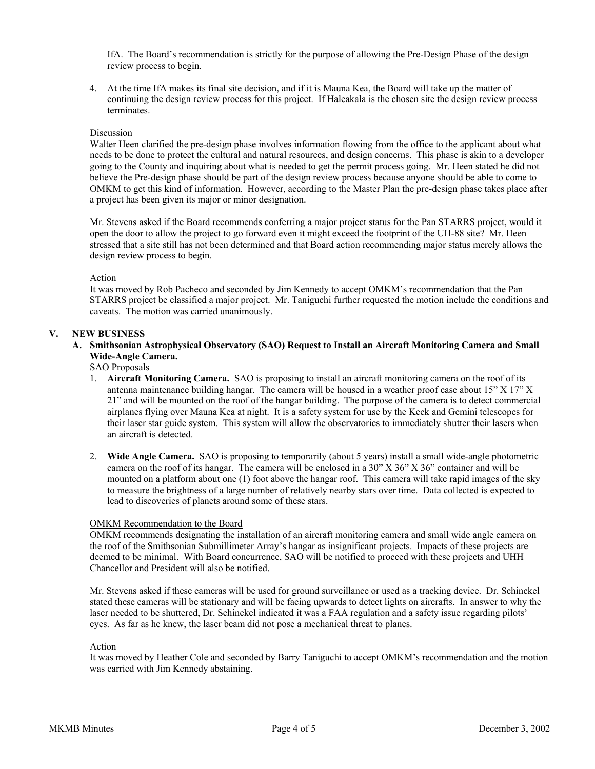IfA. The Board's recommendation is strictly for the purpose of allowing the Pre-Design Phase of the design review process to begin.

4. At the time IfA makes its final site decision, and if it is Mauna Kea, the Board will take up the matter of continuing the design review process for this project. If Haleakala is the chosen site the design review process terminates.

#### Discussion

Walter Heen clarified the pre-design phase involves information flowing from the office to the applicant about what needs to be done to protect the cultural and natural resources, and design concerns. This phase is akin to a developer going to the County and inquiring about what is needed to get the permit process going. Mr. Heen stated he did not believe the Pre-design phase should be part of the design review process because anyone should be able to come to OMKM to get this kind of information. However, according to the Master Plan the pre-design phase takes place after a project has been given its major or minor designation.

Mr. Stevens asked if the Board recommends conferring a major project status for the Pan STARRS project, would it open the door to allow the project to go forward even it might exceed the footprint of the UH-88 site? Mr. Heen stressed that a site still has not been determined and that Board action recommending major status merely allows the design review process to begin.

#### Action

It was moved by Rob Pacheco and seconded by Jim Kennedy to accept OMKM's recommendation that the Pan STARRS project be classified a major project. Mr. Taniguchi further requested the motion include the conditions and caveats. The motion was carried unanimously.

#### **V. NEW BUSINESS**

# **A. Smithsonian Astrophysical Observatory (SAO) Request to Install an Aircraft Monitoring Camera and Small Wide-Angle Camera.**

# SAO Proposals

- 1. **Aircraft Monitoring Camera.** SAO is proposing to install an aircraft monitoring camera on the roof of its antenna maintenance building hangar. The camera will be housed in a weather proof case about  $15" X 17" X$ 21" and will be mounted on the roof of the hangar building. The purpose of the camera is to detect commercial airplanes flying over Mauna Kea at night. It is a safety system for use by the Keck and Gemini telescopes for their laser star guide system. This system will allow the observatories to immediately shutter their lasers when an aircraft is detected.
- 2. **Wide Angle Camera.** SAO is proposing to temporarily (about 5 years) install a small wide-angle photometric camera on the roof of its hangar. The camera will be enclosed in a 30" X 36" X 36" container and will be mounted on a platform about one (1) foot above the hangar roof. This camera will take rapid images of the sky to measure the brightness of a large number of relatively nearby stars over time. Data collected is expected to lead to discoveries of planets around some of these stars.

#### OMKM Recommendation to the Board

OMKM recommends designating the installation of an aircraft monitoring camera and small wide angle camera on the roof of the Smithsonian Submillimeter Array's hangar as insignificant projects. Impacts of these projects are deemed to be minimal. With Board concurrence, SAO will be notified to proceed with these projects and UHH Chancellor and President will also be notified.

Mr. Stevens asked if these cameras will be used for ground surveillance or used as a tracking device. Dr. Schinckel stated these cameras will be stationary and will be facing upwards to detect lights on aircrafts. In answer to why the laser needed to be shuttered, Dr. Schinckel indicated it was a FAA regulation and a safety issue regarding pilots' eyes. As far as he knew, the laser beam did not pose a mechanical threat to planes.

#### Action

It was moved by Heather Cole and seconded by Barry Taniguchi to accept OMKM's recommendation and the motion was carried with Jim Kennedy abstaining.